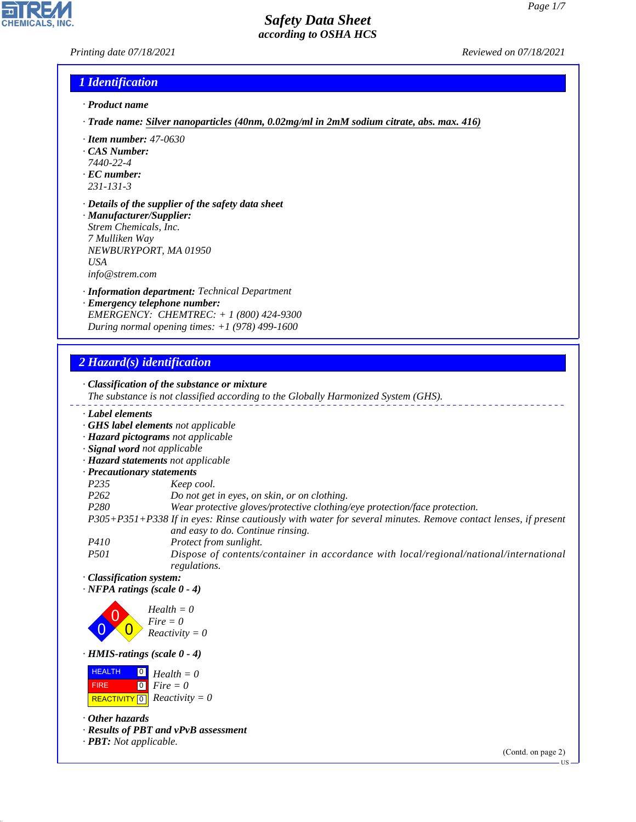## *Printing date 07/18/2021 Reviewed on 07/18/2021*

## *1 Identification*

- *· Product name*
- *· Trade name: Silver nanoparticles (40nm, 0.02mg/ml in 2mM sodium citrate, abs. max. 416)*
- *· Item number: 47-0630*
- *· CAS Number:*
- *7440-22-4*
- *· EC number:*
- *231-131-3*
- *· Details of the supplier of the safety data sheet · Manufacturer/Supplier: Strem Chemicals, Inc.*
- *7 Mulliken Way NEWBURYPORT, MA 01950 USA info@strem.com*
- *· Information department: Technical Department*
- *· Emergency telephone number: EMERGENCY: CHEMTREC: + 1 (800) 424-9300 During normal opening times: +1 (978) 499-1600*

## *2 Hazard(s) identification*

*· Classification of the substance or mixture The substance is not classified according to the Globally Harmonized System (GHS). · Label elements · GHS label elements not applicable · Hazard pictograms not applicable · Signal word not applicable · Hazard statements not applicable · Precautionary statements P235 Keep cool. P262 Do not get in eyes, on skin, or on clothing. P280 Wear protective gloves/protective clothing/eye protection/face protection. P305+P351+P338 If in eyes: Rinse cautiously with water for several minutes. Remove contact lenses, if present and easy to do. Continue rinsing. P410 Protect from sunlight.*

*P501 Dispose of contents/container in accordance with local/regional/national/international regulations.*

*· Classification system:*

*· NFPA ratings (scale 0 - 4)*

0 0  $\overline{\mathbf{0}}$ *Health = 0 Fire = 0 Reactivity = 0*

*· HMIS-ratings (scale 0 - 4)*

 HEALTH FIRE  $\boxed{\text{REACTIVITY} \boxed{0}}$  Reactivity = 0 0 *Health = 0* 0 *Fire = 0*

*· Other hazards*

44.1.1

*· Results of PBT and vPvB assessment*

*· PBT: Not applicable.*

(Contd. on page 2)

US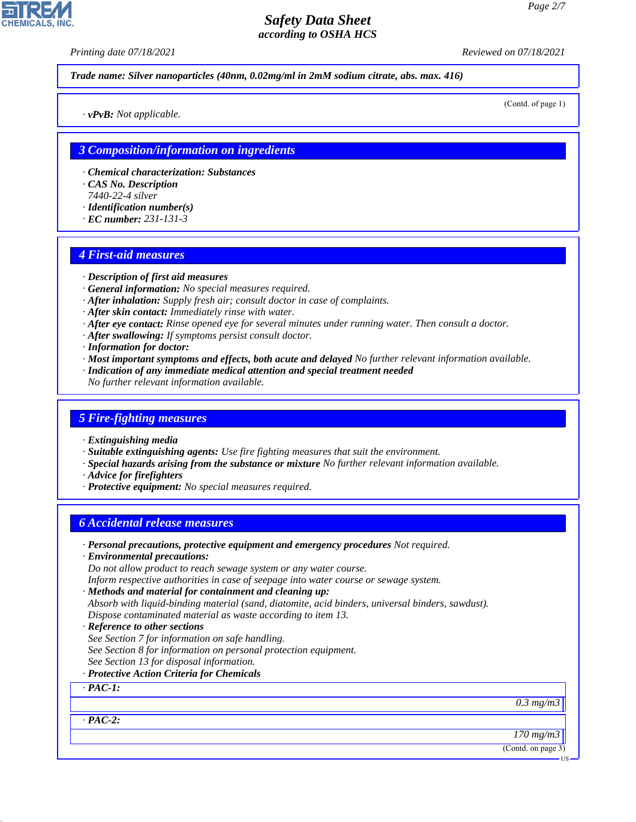*Printing date 07/18/2021 Reviewed on 07/18/2021*

*Trade name: Silver nanoparticles (40nm, 0.02mg/ml in 2mM sodium citrate, abs. max. 416)*

(Contd. of page 1)

*· vPvB: Not applicable.*

### *3 Composition/information on ingredients*

- *· Chemical characterization: Substances*
- *· CAS No. Description*
- *7440-22-4 silver*
- *· Identification number(s)*
- *· EC number: 231-131-3*

### *4 First-aid measures*

- *· Description of first aid measures*
- *· General information: No special measures required.*
- *· After inhalation: Supply fresh air; consult doctor in case of complaints.*
- *· After skin contact: Immediately rinse with water.*
- *· After eye contact: Rinse opened eye for several minutes under running water. Then consult a doctor.*
- *· After swallowing: If symptoms persist consult doctor.*
- *· Information for doctor:*
- *· Most important symptoms and effects, both acute and delayed No further relevant information available.*
- *· Indication of any immediate medical attention and special treatment needed*
- *No further relevant information available.*

### *5 Fire-fighting measures*

- *· Extinguishing media*
- *· Suitable extinguishing agents: Use fire fighting measures that suit the environment.*
- *· Special hazards arising from the substance or mixture No further relevant information available.*
- *· Advice for firefighters*
- *· Protective equipment: No special measures required.*

## *6 Accidental release measures*

- *· Personal precautions, protective equipment and emergency procedures Not required.*
- *· Environmental precautions:*

*Do not allow product to reach sewage system or any water course.*

- *Inform respective authorities in case of seepage into water course or sewage system.*
- *· Methods and material for containment and cleaning up:*
- *Absorb with liquid-binding material (sand, diatomite, acid binders, universal binders, sawdust). Dispose contaminated material as waste according to item 13.*
- *· Reference to other sections*
- *See Section 7 for information on safe handling.*
- *See Section 8 for information on personal protection equipment.*
- *See Section 13 for disposal information.*
- *· Protective Action Criteria for Chemicals*

### *· PAC-1:*

*0.3 mg/m3*

*· PAC-2:*

44.1.1

*170 mg/m3*

(Contd. on page 3)

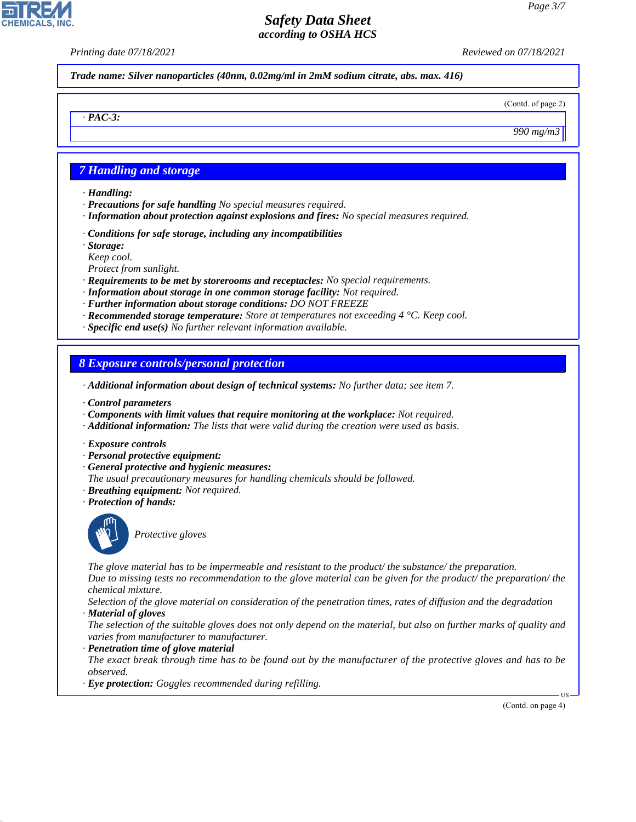*Printing date 07/18/2021 Reviewed on 07/18/2021*

*Trade name: Silver nanoparticles (40nm, 0.02mg/ml in 2mM sodium citrate, abs. max. 416)*

(Contd. of page 2)

*990 mg/m3*

## *7 Handling and storage*

*· Handling:*

*· PAC-3:*

- *· Precautions for safe handling No special measures required.*
- *· Information about protection against explosions and fires: No special measures required.*
- *· Conditions for safe storage, including any incompatibilities*
- *· Storage:*
- *Keep cool.*
- *Protect from sunlight.*
- *· Requirements to be met by storerooms and receptacles: No special requirements.*
- *· Information about storage in one common storage facility: Not required.*
- *· Further information about storage conditions: DO NOT FREEZE*
- *· Recommended storage temperature: Store at temperatures not exceeding 4 °C. Keep cool.*
- *· Specific end use(s) No further relevant information available.*

## *8 Exposure controls/personal protection*

- *· Additional information about design of technical systems: No further data; see item 7.*
- *· Control parameters*
- *· Components with limit values that require monitoring at the workplace: Not required.*
- *· Additional information: The lists that were valid during the creation were used as basis.*
- *· Exposure controls*
- *· Personal protective equipment:*
- *· General protective and hygienic measures:*
- *The usual precautionary measures for handling chemicals should be followed.*
- *· Breathing equipment: Not required.*
- *· Protection of hands:*



44.1.1

\_S*Protective gloves*

*The glove material has to be impermeable and resistant to the product/ the substance/ the preparation. Due to missing tests no recommendation to the glove material can be given for the product/ the preparation/ the chemical mixture.*

*Selection of the glove material on consideration of the penetration times, rates of diffusion and the degradation · Material of gloves*

*The selection of the suitable gloves does not only depend on the material, but also on further marks of quality and varies from manufacturer to manufacturer.*

### *· Penetration time of glove material*

*The exact break through time has to be found out by the manufacturer of the protective gloves and has to be observed.*

*· Eye protection: Goggles recommended during refilling.*

(Contd. on page 4)

US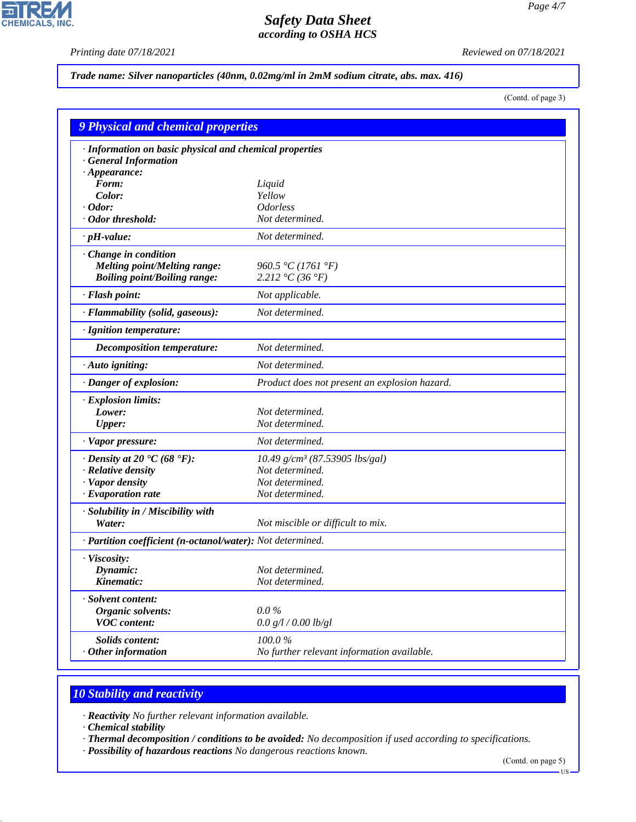$\mathbf{r}$ 

**CHEMICALS, INC.** 

*Printing date 07/18/2021 Reviewed on 07/18/2021*

### *Trade name: Silver nanoparticles (40nm, 0.02mg/ml in 2mM sodium citrate, abs. max. 416)*

(Contd. of page 3)

| <b>9 Physical and chemical properties</b>                  |                                               |  |
|------------------------------------------------------------|-----------------------------------------------|--|
| · Information on basic physical and chemical properties    |                                               |  |
| · General Information                                      |                                               |  |
| $\cdot$ Appearance:                                        |                                               |  |
| Form:                                                      | Liquid                                        |  |
| Color:<br>Odor:                                            | Yellow<br><b>Odorless</b>                     |  |
| · Odor threshold:                                          | Not determined.                               |  |
| $\cdot$ pH-value:                                          | Not determined.                               |  |
|                                                            |                                               |  |
| Change in condition                                        |                                               |  |
| <b>Melting point/Melting range:</b>                        | 960.5 °C (1761 °F)<br>2.212 °C (36 °F)        |  |
| <b>Boiling point/Boiling range:</b>                        |                                               |  |
| · Flash point:                                             | Not applicable.                               |  |
| · Flammability (solid, gaseous):                           | Not determined.                               |  |
| · Ignition temperature:                                    |                                               |  |
| <b>Decomposition temperature:</b>                          | Not determined.                               |  |
| $\cdot$ Auto igniting:                                     | Not determined.                               |  |
| · Danger of explosion:                                     | Product does not present an explosion hazard. |  |
| · Explosion limits:                                        |                                               |  |
| Lower:                                                     | Not determined.                               |  |
| <b>Upper:</b>                                              | Not determined.                               |  |
| · Vapor pressure:                                          | Not determined.                               |  |
| $\cdot$ Density at 20 $\cdot$ C (68 $\cdot$ F):            | 10.49 g/cm <sup>3</sup> (87.53905 lbs/gal)    |  |
| · Relative density                                         | Not determined.                               |  |
| · Vapor density                                            | Not determined.                               |  |
| $\cdot$ Evaporation rate                                   | Not determined.                               |  |
| · Solubility in / Miscibility with                         |                                               |  |
| Water:                                                     | Not miscible or difficult to mix.             |  |
| · Partition coefficient (n-octanol/water): Not determined. |                                               |  |
| · Viscosity:                                               |                                               |  |
| Dynamic:                                                   | Not determined.                               |  |
| Kinematic:                                                 | Not determined.                               |  |
| · Solvent content:                                         |                                               |  |
| <b>Organic solvents:</b>                                   | $0.0\%$                                       |  |
| <b>VOC</b> content:                                        | 0.0 g/l / 0.00 lb/gl                          |  |
| <b>Solids content:</b>                                     | 100.0%                                        |  |
| Other information                                          | No further relevant information available.    |  |

# *10 Stability and reactivity*

*· Reactivity No further relevant information available.*

*· Chemical stability*

44.1.1

*· Thermal decomposition / conditions to be avoided: No decomposition if used according to specifications.*

*· Possibility of hazardous reactions No dangerous reactions known.*

(Contd. on page 5)

 $-US$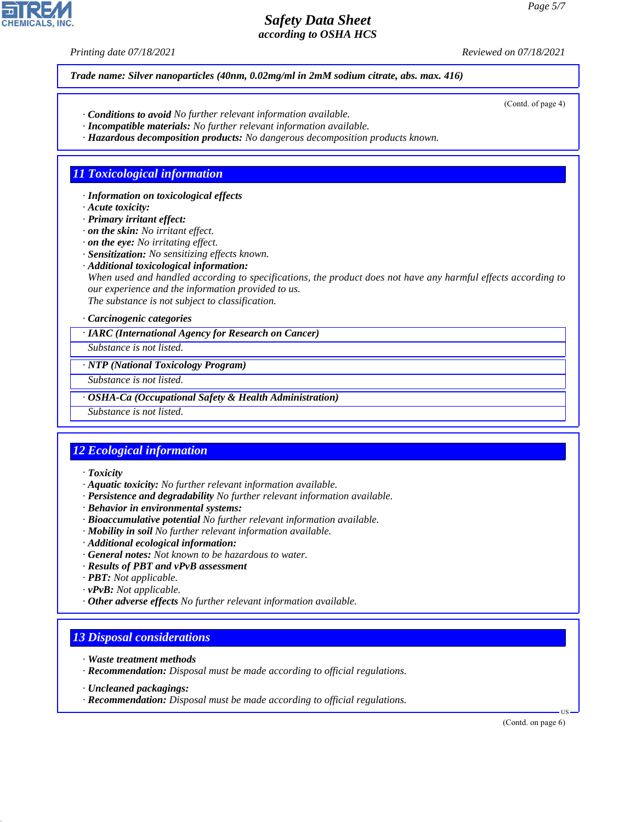*Printing date 07/18/2021 Reviewed on 07/18/2021*

*Trade name: Silver nanoparticles (40nm, 0.02mg/ml in 2mM sodium citrate, abs. max. 416)*

- *· Conditions to avoid No further relevant information available.*
- *· Incompatible materials: No further relevant information available.*
- *· Hazardous decomposition products: No dangerous decomposition products known.*

## *11 Toxicological information*

*· Information on toxicological effects*

*· Acute toxicity:*

*· Primary irritant effect:*

*· on the skin: No irritant effect.*

*· on the eye: No irritating effect.*

*· Sensitization: No sensitizing effects known.*

*· Additional toxicological information:*

*When used and handled according to specifications, the product does not have any harmful effects according to our experience and the information provided to us.*

*The substance is not subject to classification.*

### *· Carcinogenic categories*

*· IARC (International Agency for Research on Cancer)*

*Substance is not listed.*

*· NTP (National Toxicology Program)*

*Substance is not listed.*

*· OSHA-Ca (Occupational Safety & Health Administration)*

*Substance is not listed.*

# *12 Ecological information*

*· Toxicity*

- *· Aquatic toxicity: No further relevant information available.*
- *· Persistence and degradability No further relevant information available.*
- *· Behavior in environmental systems:*
- *· Bioaccumulative potential No further relevant information available.*
- *· Mobility in soil No further relevant information available.*
- *· Additional ecological information:*
- *· General notes: Not known to be hazardous to water.*
- *· Results of PBT and vPvB assessment*
- *· PBT: Not applicable.*
- *· vPvB: Not applicable.*
- *· Other adverse effects No further relevant information available.*

## *13 Disposal considerations*

- *· Waste treatment methods*
- *· Recommendation: Disposal must be made according to official regulations.*
- *· Uncleaned packagings:*

44.1.1

*· Recommendation: Disposal must be made according to official regulations.*

(Contd. on page 6)

US



(Contd. of page 4)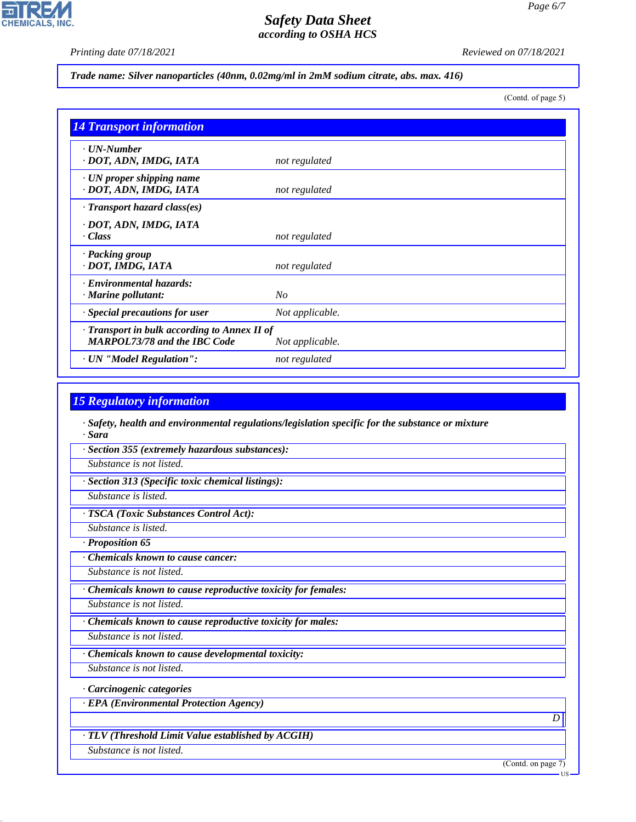*Page 6/7*

*Printing date 07/18/2021 Reviewed on 07/18/2021*

*Trade name: Silver nanoparticles (40nm, 0.02mg/ml in 2mM sodium citrate, abs. max. 416)*

(Contd. of page 5)

| <b>14 Transport information</b>                                                     |                 |
|-------------------------------------------------------------------------------------|-----------------|
| $\cdot$ UN-Number<br>· DOT, ADN, IMDG, IATA                                         | not regulated   |
| $\cdot$ UN proper shipping name<br>· DOT, ADN, IMDG, IATA                           | not regulated   |
| · Transport hazard class(es)                                                        |                 |
| · DOT, ADN, IMDG, IATA<br>· Class                                                   | not regulated   |
| · Packing group<br>· DOT, IMDG, IATA                                                | not regulated   |
| · Environmental hazards:<br>$\cdot$ Marine pollutant:                               | N <sub>O</sub>  |
| · Special precautions for user                                                      | Not applicable. |
| · Transport in bulk according to Annex II of<br><b>MARPOL73/78 and the IBC Code</b> | Not applicable. |
| · UN "Model Regulation":                                                            | not regulated   |

## *15 Regulatory information*

*· Safety, health and environmental regulations/legislation specific for the substance or mixture · Sara*

*· Section 355 (extremely hazardous substances):*

*Substance is not listed.*

*· Section 313 (Specific toxic chemical listings):*

*Substance is listed.*

*· TSCA (Toxic Substances Control Act):*

*Substance is listed.*

*· Proposition 65*

*· Chemicals known to cause cancer:*

*Substance is not listed.*

*· Chemicals known to cause reproductive toxicity for females:*

*Substance is not listed.*

*· Chemicals known to cause reproductive toxicity for males:*

*Substance is not listed.*

*· Chemicals known to cause developmental toxicity:*

*Substance is not listed.*

*· Carcinogenic categories*

*· EPA (Environmental Protection Agency)*

*· TLV (Threshold Limit Value established by ACGIH)*

*Substance is not listed.*

44.1.1

(Contd. on page 7)

*D* 

US